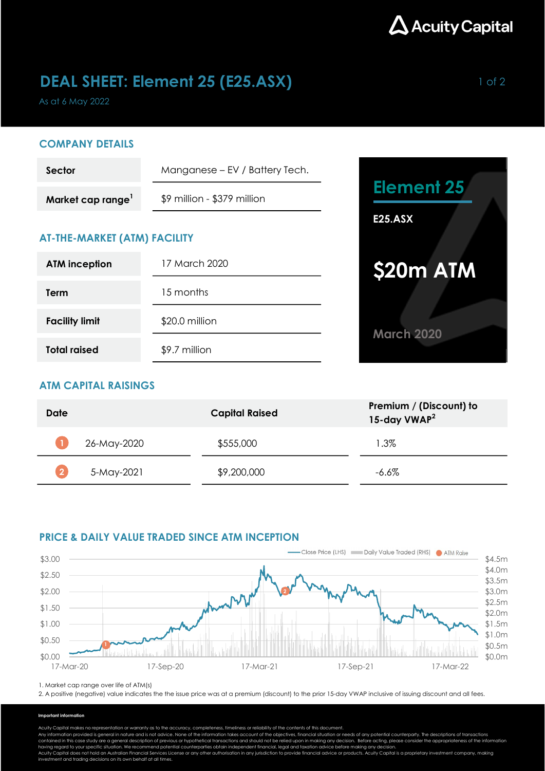

# **DEAL SHEET: Element 25 (E25.ASX)** 1 of 2

As at 6 May 2022

#### COMPANY DETAILS

| Sector            | Manganese – EV / Battery Tech. |                |
|-------------------|--------------------------------|----------------|
| Market cap range' | \$9 million - \$379 million    | Element 25     |
|                   |                                | <b>E25.ASX</b> |

# AT-THE-MARKET (ATM) FACILITY

| <b>ATM inception</b>  | 17 March 2020  |  |
|-----------------------|----------------|--|
| Term                  | 15 months      |  |
| <b>Facility limit</b> | \$20.0 million |  |
| <b>Total raised</b>   | \$9.7 million  |  |



### ATM CAPITAL RAISINGS

| Date        | <b>Capital Raised</b> | Premium / (Discount) to<br>15-day VWAP <sup>2</sup> |
|-------------|-----------------------|-----------------------------------------------------|
| 26-May-2020 | \$555,000             | $1.3\%$                                             |
| 5-May-2021  | \$9,200,000           | -6.6%                                               |

#### PRICE & DAILY VALUE TRADED SINCE ATM INCEPTION



1. Market cap range over life of ATM(s)

2. A positive (negative) value indicates the the issue price was at a premium (discount) to the prior 15-day VWAP inclusive of issuing discount and all fees.

#### Important information

Acuity Capital makes no representation or warranty as to the accuracy, completeness, timeliness or reliability of the contents of this document.

Any information provided is general in nature and is not advice. None of the information takes account of the objectives, financial situation or needs of any potential counterparty. The descriptions of transactions<br>contain

having regard to your specific situation. We recommend potential counterparties obtain independent financial, legal and taxation advice before making any decision.<br>Acuity Capital does not hold an Australian Financial Servi investment and trading decisions on its own behalf at all times.